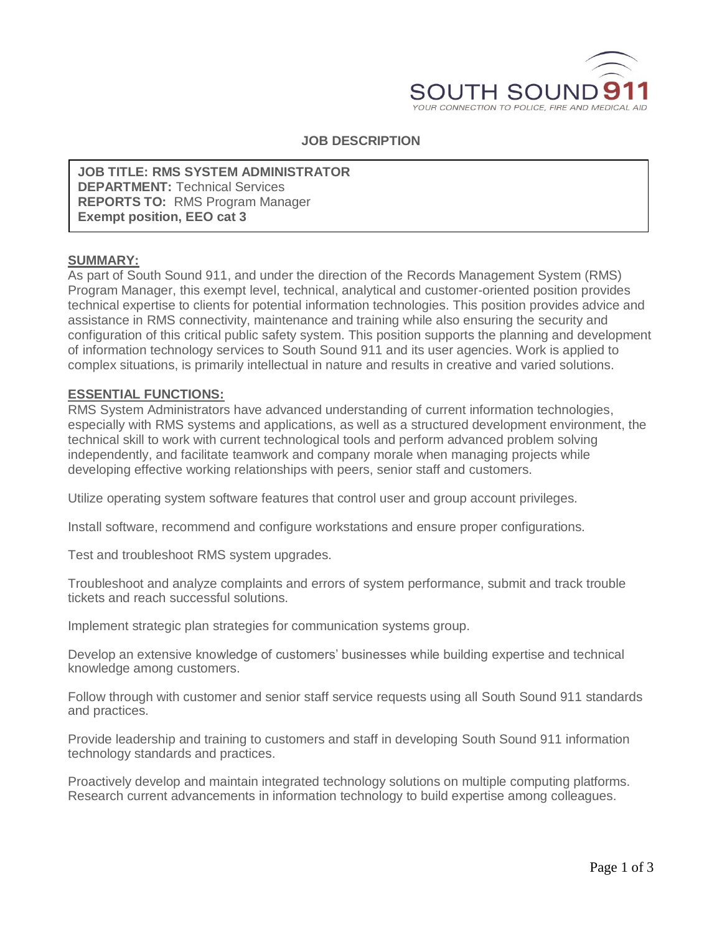

## **JOB DESCRIPTION**

**JOB TITLE: RMS SYSTEM ADMINISTRATOR DEPARTMENT:** Technical Services **REPORTS TO:** RMS Program Manager **Exempt position, EEO cat 3**

#### **SUMMARY:**

As part of South Sound 911, and under the direction of the Records Management System (RMS) Program Manager, this exempt level, technical, analytical and customer-oriented position provides technical expertise to clients for potential information technologies. This position provides advice and assistance in RMS connectivity, maintenance and training while also ensuring the security and configuration of this critical public safety system. This position supports the planning and development of information technology services to South Sound 911 and its user agencies. Work is applied to complex situations, is primarily intellectual in nature and results in creative and varied solutions.

#### **ESSENTIAL FUNCTIONS:**

RMS System Administrators have advanced understanding of current information technologies, especially with RMS systems and applications, as well as a structured development environment, the technical skill to work with current technological tools and perform advanced problem solving independently, and facilitate teamwork and company morale when managing projects while developing effective working relationships with peers, senior staff and customers.

Utilize operating system software features that control user and group account privileges.

Install software, recommend and configure workstations and ensure proper configurations.

Test and troubleshoot RMS system upgrades.

Troubleshoot and analyze complaints and errors of system performance, submit and track trouble tickets and reach successful solutions.

Implement strategic plan strategies for communication systems group.

Develop an extensive knowledge of customers' businesses while building expertise and technical knowledge among customers.

Follow through with customer and senior staff service requests using all South Sound 911 standards and practices.

Provide leadership and training to customers and staff in developing South Sound 911 information technology standards and practices.

Proactively develop and maintain integrated technology solutions on multiple computing platforms. Research current advancements in information technology to build expertise among colleagues.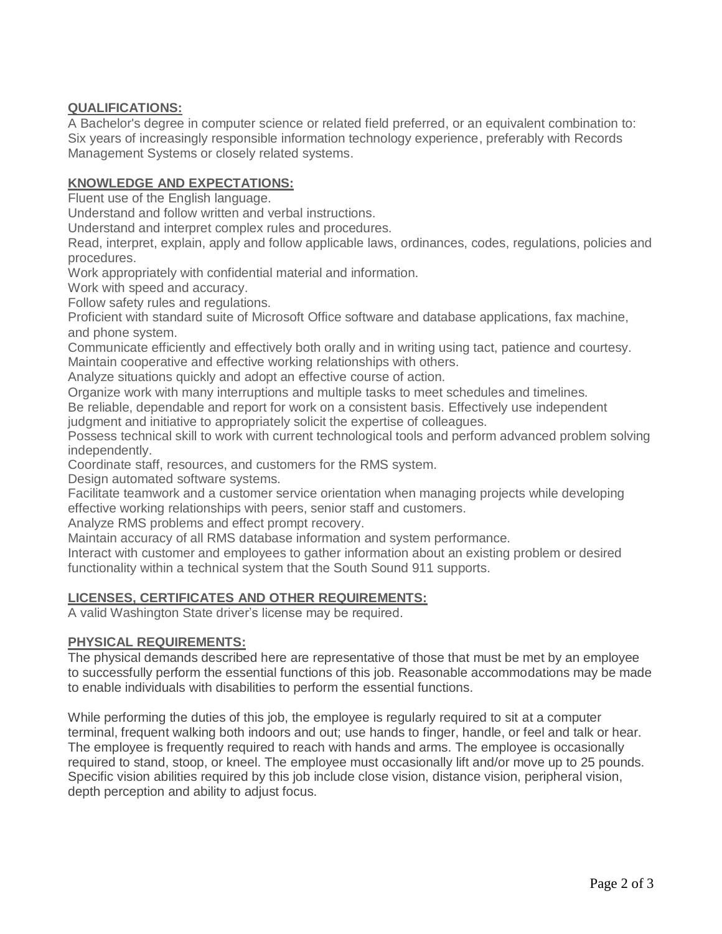# **QUALIFICATIONS:**

A Bachelor's degree in computer science or related field preferred, or an equivalent combination to: Six years of increasingly responsible information technology experience, preferably with Records Management Systems or closely related systems.

## **KNOWLEDGE AND EXPECTATIONS:**

Fluent use of the English language.

Understand and follow written and verbal instructions.

Understand and interpret complex rules and procedures.

Read, interpret, explain, apply and follow applicable laws, ordinances, codes, regulations, policies and procedures.

Work appropriately with confidential material and information.

Work with speed and accuracy.

Follow safety rules and regulations.

Proficient with standard suite of Microsoft Office software and database applications, fax machine, and phone system.

Communicate efficiently and effectively both orally and in writing using tact, patience and courtesy. Maintain cooperative and effective working relationships with others.

Analyze situations quickly and adopt an effective course of action.

Organize work with many interruptions and multiple tasks to meet schedules and timelines.

Be reliable, dependable and report for work on a consistent basis. Effectively use independent judgment and initiative to appropriately solicit the expertise of colleagues.

Possess technical skill to work with current technological tools and perform advanced problem solving independently.

Coordinate staff, resources, and customers for the RMS system.

Design automated software systems.

Facilitate teamwork and a customer service orientation when managing projects while developing effective working relationships with peers, senior staff and customers.

Analyze RMS problems and effect prompt recovery.

Maintain accuracy of all RMS database information and system performance.

Interact with customer and employees to gather information about an existing problem or desired functionality within a technical system that the South Sound 911 supports.

# **LICENSES, CERTIFICATES AND OTHER REQUIREMENTS:**

A valid Washington State driver's license may be required.

### **PHYSICAL REQUIREMENTS:**

The physical demands described here are representative of those that must be met by an employee to successfully perform the essential functions of this job. Reasonable accommodations may be made to enable individuals with disabilities to perform the essential functions.

While performing the duties of this job, the employee is regularly required to sit at a computer terminal, frequent walking both indoors and out; use hands to finger, handle, or feel and talk or hear. The employee is frequently required to reach with hands and arms. The employee is occasionally required to stand, stoop, or kneel. The employee must occasionally lift and/or move up to 25 pounds. Specific vision abilities required by this job include close vision, distance vision, peripheral vision, depth perception and ability to adjust focus.